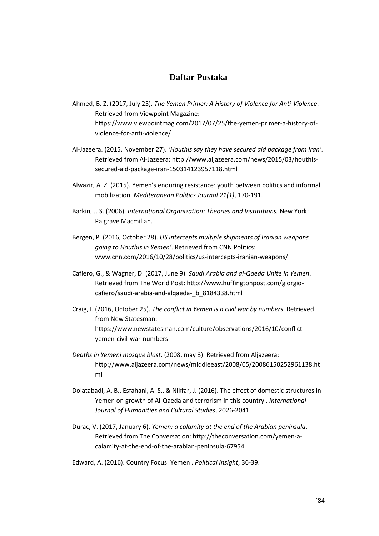## **Daftar Pustaka**

- Ahmed, B. Z. (2017, July 25). *The Yemen Primer: A History of Violence for Anti-Violence*. Retrieved from Viewpoint Magazine: https://www.viewpointmag.com/2017/07/25/the-yemen-primer-a-history-ofviolence-for-anti-violence/
- Al-Jazeera. (2015, November 27). *'Houthis say they have secured aid package from Iran'*. Retrieved from Al-Jazeera: http://www.aljazeera.com/news/2015/03/houthissecured-aid-package-iran-150314123957118.html
- Alwazir, A. Z. (2015). Yemen's enduring resistance: youth between politics and informal mobilization. *Mediteranean Politics Journal 21(1)*, 170-191.
- Barkin, J. S. (2006). *International Organization: Theories and Institutions.* New York: Palgrave Macmillan.
- Bergen, P. (2016, October 28). *US intercepts multiple shipments of Iranian weapons going to Houthis in Yemen'*. Retrieved from CNN Politics: www.cnn.com/2016/10/28/politics/us-intercepts-iranian-weapons/
- Cafiero, G., & Wagner, D. (2017, June 9). *Saudi Arabia and al-Qaeda Unite in Yemen*. Retrieved from The World Post: http://www.huffingtonpost.com/giorgiocafiero/saudi-arabia-and-alqaeda-\_b\_8184338.html
- Craig, I. (2016, October 25). *The conflict in Yemen is a civil war by numbers*. Retrieved from New Statesman: https://www.newstatesman.com/culture/observations/2016/10/conflictyemen-civil-war-numbers
- *Deaths in Yemeni mosque blast*. (2008, may 3). Retrieved from Aljazeera: http://www.aljazeera.com/news/middleeast/2008/05/20086150252961138.ht ml
- Dolatabadi, A. B., Esfahani, A. S., & Nikfar, J. (2016). The effect of domestic structures in Yemen on growth of Al-Qaeda and terrorism in this country . *International Journal of Humanities and Cultural Studies*, 2026-2041.
- Durac, V. (2017, January 6). *Yemen: a calamity at the end of the Arabian peninsula*. Retrieved from The Conversation: http://theconversation.com/yemen-acalamity-at-the-end-of-the-arabian-peninsula-67954
- Edward, A. (2016). Country Focus: Yemen . *Political Insight*, 36-39.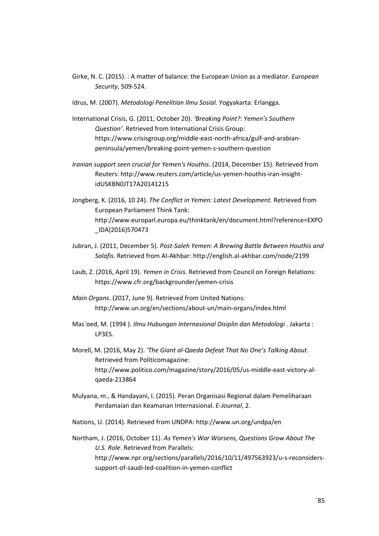- Girke, N. C. (2015). : A matter of balance: the European Union as a mediator. *European Security*, 509-524.
- Idrus, M. (2007). *Metodologi Penelitian Ilmu Sosial.* Yogyakarta: Erlangga.
- International Crisis, G. (2011, October 20). *'Breaking Point?: Yemen's Southern Question'*. Retrieved from International Crisis Group: https://www.crisisgroup.org/middle-east-north-africa/gulf-and-arabianpeninsula/yemen/breaking-point-yemen-s-southern-question
- *Iranian support seen crucial for Yemen's Houthis*. (2014, December 15). Retrieved from Reuters: http://www.reuters.com/article/us-yemen-houthis-iran-insightidUSKBN0JT17A20141215
- Jongberg, K. (2016, 10 24). *The Conflict in Yemen: Latest Development.* Retrieved from European Parliament Think Tank: http://www.europarl.europa.eu/thinktank/en/document.html?reference=EXPO \_IDA(2016)570473
- Jubran, J. (2011, December 5). *Post-Saleh Yemen: A Brewing Battle Between Houthis and Salafis*. Retrieved from Al-Akhbar: http://english.al-akhbar.com/node/2199
- Laub, Z. (2016, April 19). *Yemen in Crisis*. Retrieved from Council on Foreign Relations: https://www.cfr.org/backgrounder/yemen-crisis
- *Main Organs*. (2017, June 9). Retrieved from United Nations: http://www.un.org/en/sections/about-un/main-organs/index.html
- Mas`oed, M. (1994 ). *Ilmu Hubungan Internasional Disiplin dan Metodologi .* Jakarta : LP3ES.
- Morell, M. (2016, May 2). *'The Giant al-Qaeda Defeat That No One's Talking About*. Retrieved from Politicomagazine: http://www.politico.com/magazine/story/2016/05/us-middle-east-victory-alqaeda-213864
- Mulyana, m., & Handayani, I. (2015). Peran Organisasi Regional dalam Pemeliharaan Perdamaian dan Keamanan Internasional. *E-Journal*, 2.
- Nations, U. (2014). Retrieved from UNDPA: http://www.un.org/undpa/en
- Northam, J. (2016, October 11). *As Yemen's War Worsens, Questions Grow About The U.S. Role*. Retrieved from Parallels: http://www.npr.org/sections/parallels/2016/10/11/497563923/u-s-reconsiderssupport-of-saudi-led-coalition-in-yemen-conflict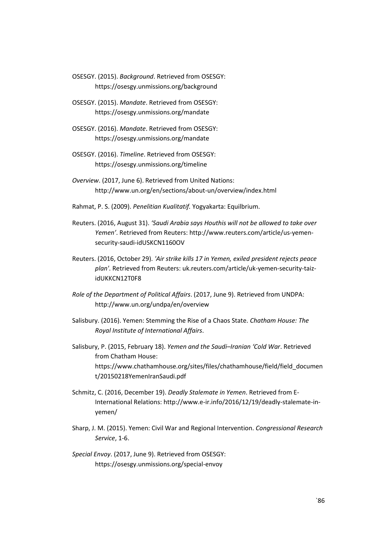OSESGY. (2015). *Background*. Retrieved from OSESGY: https://osesgy.unmissions.org/background

- OSESGY. (2015). *Mandate*. Retrieved from OSESGY: https://osesgy.unmissions.org/mandate
- OSESGY. (2016). *Mandate*. Retrieved from OSESGY: https://osesgy.unmissions.org/mandate
- OSESGY. (2016). *Timeline*. Retrieved from OSESGY: https://osesgy.unmissions.org/timeline
- *Overview*. (2017, June 6). Retrieved from United Nations: http://www.un.org/en/sections/about-un/overview/index.html
- Rahmat, P. S. (2009). *Penelitian Kualitatif.* Yogyakarta: Equilbrium.
- Reuters. (2016, August 31). *'Saudi Arabia says Houthis will not be allowed to take over Yemen'*. Retrieved from Reuters: http://www.reuters.com/article/us-yemensecurity-saudi-idUSKCN1160OV
- Reuters. (2016, October 29). *'Air strike kills 17 in Yemen, exiled president rejects peace plan'*. Retrieved from Reuters: uk.reuters.com/article/uk-yemen-security-taizidUKKCN12T0F8
- *Role of the Department of Political Affairs*. (2017, June 9). Retrieved from UNDPA: http://www.un.org/undpa/en/overview
- Salisbury. (2016). Yemen: Stemming the Rise of a Chaos State. *Chatham House: The Royal Institute of International Affairs*.
- Salisbury, P. (2015, February 18). *Yemen and the Saudi–Iranian 'Cold War*. Retrieved from Chatham House: https://www.chathamhouse.org/sites/files/chathamhouse/field/field\_documen t/20150218YemenIranSaudi.pdf
- Schmitz, C. (2016, December 19). *Deadly Stalemate in Yemen*. Retrieved from E-International Relations: http://www.e-ir.info/2016/12/19/deadly-stalemate-inyemen/
- Sharp, J. M. (2015). Yemen: Civil War and Regional Intervention. *Congressional Research Service*, 1-6.
- *Special Envoy*. (2017, June 9). Retrieved from OSESGY: https://osesgy.unmissions.org/special-envoy